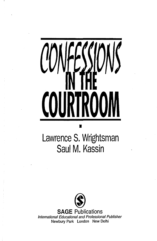## $\int$ RTROOL  $\big($

## Lawrence S. Wrightsman Saul M. Kassin

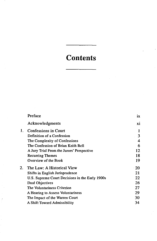## **Contents**

|    | Preface                                         | ix    |
|----|-------------------------------------------------|-------|
|    | Acknowledgments                                 | X1    |
| 1. | <b>Confessions in Court</b>                     | 1     |
|    | Definition of a Confession                      | 3     |
|    | The Complexity of Confessions                   | 4     |
|    | The Confession of Brian Keith Bell              | 6     |
|    | A Jury Trial From the Jurors' Perspective       | 12    |
|    | <b>Recurring Themes</b>                         | 18    |
|    | Overview of the Book                            | 19    |
| 2. | The Law: A Historical View                      | $-20$ |
|    | Shifts in English Jurisprudence                 | 21    |
|    | U.S. Supreme Court Decisions in the Early 1900s | 22    |
|    | Dual Objectives                                 | 26    |
|    | The Voluntariness Criterion                     | 27    |
|    | A Hearing to Assess Voluntariness               | 29    |
|    | The Impact of the Warren Court                  | 30    |
|    | A Shift Toward Admissibility                    | 34    |
|    |                                                 |       |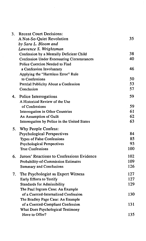| 3. | <b>Recent Court Decisions:</b>                    |     |
|----|---------------------------------------------------|-----|
|    | A Not-So-Quiet Revolution                         | 35  |
|    | by Sara L. Bloom and                              |     |
|    | Lawrence S. Wrightsman                            |     |
|    | Confession by a Mentally Deficient Child          | 38  |
|    | <b>Confession Under Extenuating Circumstances</b> | 40  |
|    | Police Coercion Needed to Find                    |     |
|    | a Confession Involuntary                          | 46  |
|    | Applying the "Harmless Error" Rule                |     |
|    | to Confessions                                    | 50  |
|    | Pretrial Publicity About a Confession             | 53  |
|    | Conclusion                                        | 57  |
| 4. | Police Interrogations                             | 59  |
|    | A Historical Review of the Use                    |     |
|    | of Confessions                                    | 59  |
|    | Interrogation in Other Countries                  | 61  |
|    | An Assumption of Guilt                            | 62  |
|    | Interrogation by Police in the United States      | 63  |
| 5. | Why People Confess:                               |     |
|    | <b>Psychological Perspectives</b>                 | 84  |
|    | Types of False Confessions                        | 85  |
|    | <b>Psychological Perspectives</b>                 | 93  |
|    | <b>True Confessions</b>                           | 100 |
| 6. | Jurors' Reactions to Confessions Evidence         | 102 |
|    | Probability-of-Commission Estimates               | 109 |
|    | <b>Summary and Conclusions</b>                    | 126 |
| 7. | The Psychologist as Expert Witness                | 127 |
|    | Early Efforts to Testify                          | 127 |
|    | <b>Standards for Admissibility</b>                | 129 |
|    | The Paul Ingram Case: An Example                  |     |
|    | of a Coerced-Internalized Confession              | 130 |
|    | The Bradley Page Case: An Example                 |     |
|    | of a Coerced-Compliant Confession                 | 131 |
|    | What Does Psychological Testimony                 |     |
|    | Have to Offer?                                    | 135 |